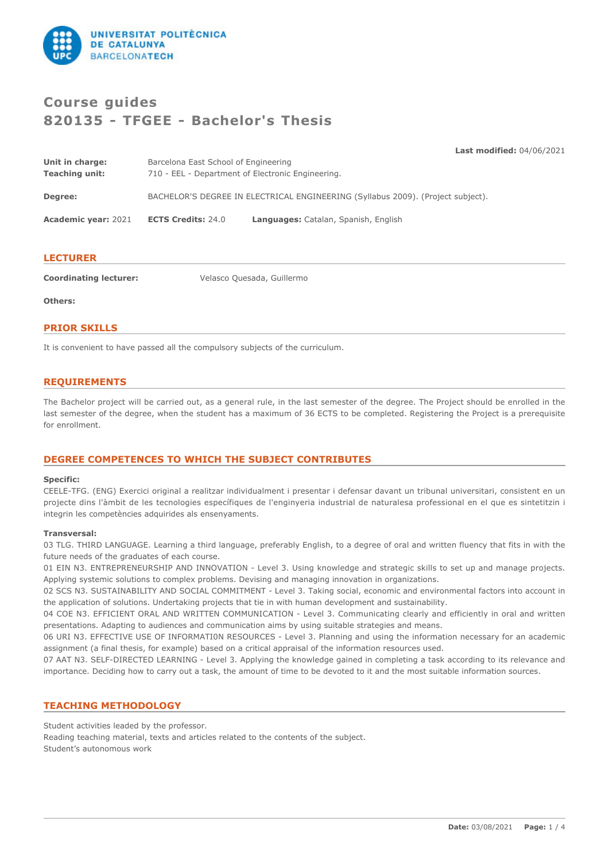

# **Course guides 820135 - TFGEE - Bachelor's Thesis**

**Last modified:** 04/06/2021

| Unit in charge:<br><b>Teaching unit:</b> | Barcelona East School of Engineering<br>710 - EEL - Department of Electronic Engineering. |                                                                                 |  |
|------------------------------------------|-------------------------------------------------------------------------------------------|---------------------------------------------------------------------------------|--|
| Degree:                                  |                                                                                           | BACHELOR'S DEGREE IN ELECTRICAL ENGINEERING (Syllabus 2009). (Project subject). |  |
| <b>Academic year: 2021</b>               | <b>ECTS Credits: 24.0</b>                                                                 | Languages: Catalan, Spanish, English                                            |  |

#### **LECTURER**

**Coordinating lecturer:** Velasco Quesada, Guillermo

**Others:**

#### **PRIOR SKILLS**

It is convenient to have passed all the compulsory subjects of the curriculum.

#### **REQUIREMENTS**

The Bachelor project will be carried out, as a general rule, in the last semester of the degree. The Project should be enrolled in the last semester of the degree, when the student has a maximum of 36 ECTS to be completed. Registering the Project is a prerequisite for enrollment.

## **DEGREE COMPETENCES TO WHICH THE SUBJECT CONTRIBUTES**

#### **Specific:**

CEELE-TFG. (ENG) Exercici original a realitzar individualment i presentar i defensar davant un tribunal universitari, consistent en un projecte dins l'àmbit de les tecnologies específiques de l'enginyeria industrial de naturalesa professional en el que es sintetitzin i integrin les competències adquirides als ensenyaments.

#### **Transversal:**

03 TLG. THIRD LANGUAGE. Learning a third language, preferably English, to a degree of oral and written fluency that fits in with the future needs of the graduates of each course.

01 EIN N3. ENTREPRENEURSHIP AND INNOVATION - Level 3. Using knowledge and strategic skills to set up and manage projects. Applying systemic solutions to complex problems. Devising and managing innovation in organizations.

02 SCS N3. SUSTAINABILITY AND SOCIAL COMMITMENT - Level 3. Taking social, economic and environmental factors into account in the application of solutions. Undertaking projects that tie in with human development and sustainability.

04 COE N3. EFFICIENT ORAL AND WRITTEN COMMUNICATION - Level 3. Communicating clearly and efficiently in oral and written presentations. Adapting to audiences and communication aims by using suitable strategies and means.

06 URI N3. EFFECTIVE USE OF INFORMATI0N RESOURCES - Level 3. Planning and using the information necessary for an academic assignment (a final thesis, for example) based on a critical appraisal of the information resources used.

07 AAT N3. SELF-DIRECTED LEARNING - Level 3. Applying the knowledge gained in completing a task according to its relevance and importance. Deciding how to carry out a task, the amount of time to be devoted to it and the most suitable information sources.

## **TEACHING METHODOLOGY**

Student activities leaded by the professor.

Reading teaching material, texts and articles related to the contents of the subject. Student's autonomous work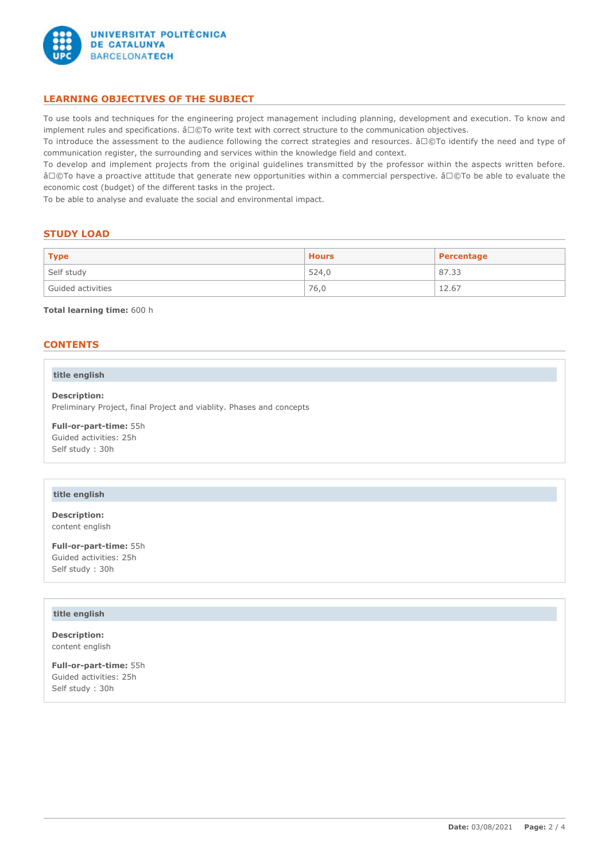

# **LEARNING OBJECTIVES OF THE SUBJECT**

To use tools and techniques for the engineering project management including planning, development and execution. To know and implement rules and specifications.  $â□@To$  write text with correct structure to the communication objectives.

To introduce the assessment to the audience following the correct strategies and resources. â□©To identify the need and type of communication register, the surrounding and services within the knowledge field and context.

To develop and implement projects from the original guidelines transmitted by the professor within the aspects written before. â©To have a proactive attitude that generate new opportunities within a commercial perspective. â©To be able to evaluate the economic cost (budget) of the different tasks in the project.

To be able to analyse and evaluate the social and environmental impact.

## **STUDY LOAD**

| <b>Type</b>       | <b>Hours</b> | Percentage |
|-------------------|--------------|------------|
| Self study        | 524.0        | 87.33      |
| Guided activities | 76,0         | 12.67      |

**Total learning time:** 600 h

## **CONTENTS**

#### **title english**

**Description:** Preliminary Project, final Project and viablity. Phases and concepts

**Full-or-part-time:** 55h Guided activities: 25h Self study : 30h

#### **title english**

**Description:** content english

**Full-or-part-time:** 55h Guided activities: 25h Self study : 30h

#### **title english**

**Description:** content english

**Full-or-part-time:** 55h Guided activities: 25h Self study : 30h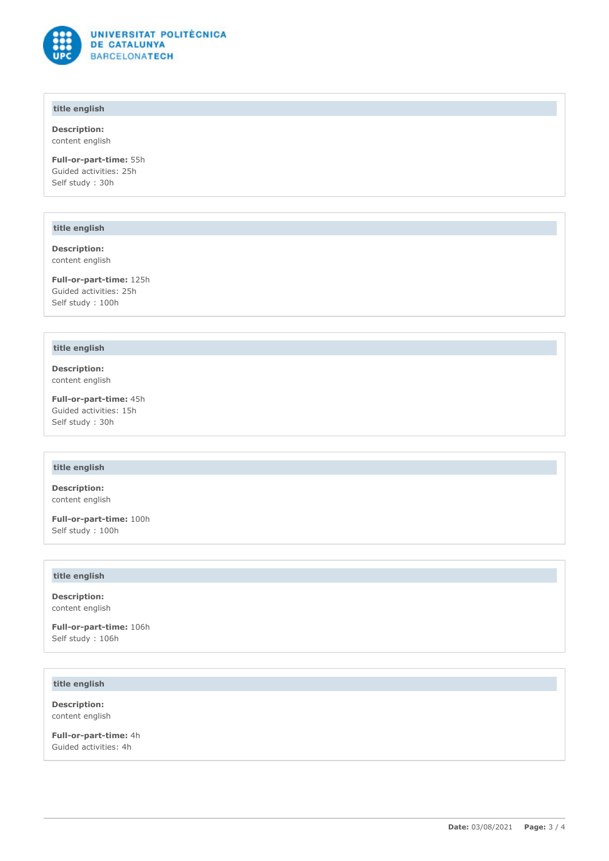

# **title english**

**Description:** content english

**Full-or-part-time:** 55h Guided activities: 25h Self study : 30h

#### **title english**

**Description:** content english

**Full-or-part-time:** 125h Guided activities: 25h Self study : 100h

#### **title english**

**Description:** content english

**Full-or-part-time:** 45h Guided activities: 15h Self study : 30h

# **title english**

**Description:** content english

**Full-or-part-time:** 100h Self study : 100h

#### **title english**

**Description:** content english

**Full-or-part-time:** 106h Self study : 106h

# **title english**

**Description:** content english

**Full-or-part-time:** 4h Guided activities: 4h